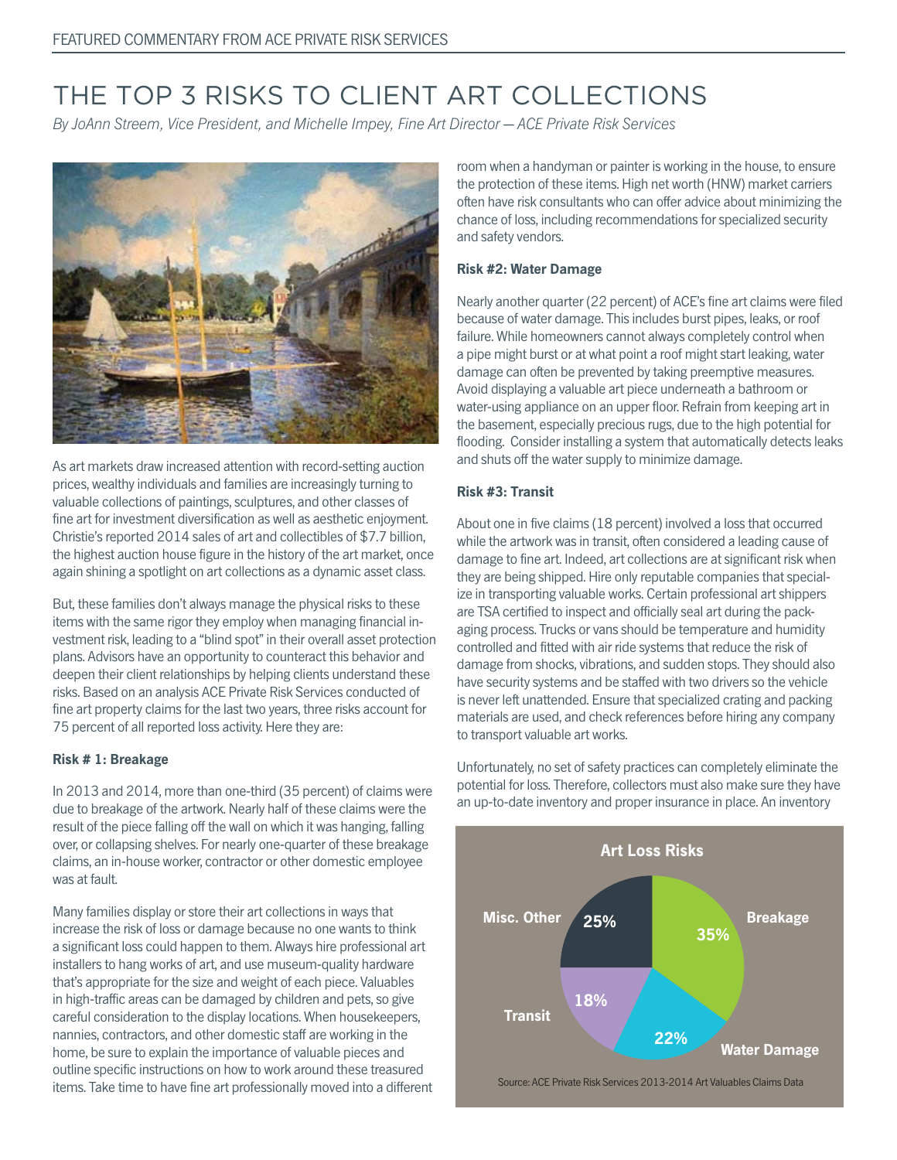# THE TOP 3 RISKS TO CLIENT ART COLLECTIONS

By JoAnn Streem, Vice President, and Michelle Impey, Fine Art Director — ACE Private Risk Services



As art markets draw increased attention with record-setting auction prices, wealthy individuals and families are increasingly turning to valuable collections of paintings, sculptures, and other classes of fine art for investment diversification as well as aesthetic enjoyment. Christie's reported 2014 sales of art and collectibles of \$7.7 billion, the highest auction house figure in the history of the art market, once again shining a spotlight on art collections as a dynamic asset class.

But, these families don't always manage the physical risks to these items with the same rigor they employ when managing financial investment risk, leading to a "blind spot" in their overall asset protection plans. Advisors have an opportunity to counteract this behavior and deepen their client relationships by helping clients understand these risks. Based on an analysis ACE Private Risk Services conducted of fine art property claims for the last two years, three risks account for 75 percent of all reported loss activity. Here they are:

#### **Risk # 1: Breakage**

In 2013 and 2014, more than one-third (35 percent) of claims were due to breakage of the artwork. Nearly half of these claims were the result of the piece falling off the wall on which it was hanging, falling over, or collapsing shelves. For nearly one-quarter of these breakage claims, an in-house worker, contractor or other domestic employee was at fault.

Many families display or store their art collections in ways that increase the risk of loss or damage because no one wants to think a significant loss could happen to them. Always hire professional art installers to hang works of art, and use museum-quality hardware that's appropriate for the size and weight of each piece. Valuables in high-traffic areas can be damaged by children and pets, so give careful consideration to the display locations. When housekeepers, nannies, contractors, and other domestic staff are working in the home, be sure to explain the importance of valuable pieces and outline specific instructions on how to work around these treasured items. Take time to have fine art professionally moved into a different room when a handyman or painter is working in the house, to ensure the protection of these items. High net worth (HNW) market carriers often have risk consultants who can offer advice about minimizing the chance of loss, including recommendations for specialized security and safety vendors.

#### **Risk #2: Water Damage**

Nearly another quarter (22 percent) of ACE's fine art claims were filed because of water damage. This includes burst pipes, leaks, or roof failure. While homeowners cannot always completely control when a pipe might burst or at what point a roof might start leaking, water damage can often be prevented by taking preemptive measures. Avoid displaying a valuable art piece underneath a bathroom or water-using appliance on an upper floor. Refrain from keeping art in the basement, especially precious rugs, due to the high potential for flooding. Consider installing a system that automatically detects leaks and shuts off the water supply to minimize damage.

#### **Risk #3: Transit**

About one in five claims (18 percent) involved a loss that occurred while the artwork was in transit, often considered a leading cause of damage to fine art. Indeed, art collections are at significant risk when they are being shipped. Hire only reputable companies that specialize in transporting valuable works. Certain professional art shippers are TSA certified to inspect and officially seal art during the packaging process. Trucks or vans should be temperature and humidity controlled and fitted with air ride systems that reduce the risk of damage from shocks, vibrations, and sudden stops. They should also have security systems and be staffed with two drivers so the vehicle is never left unattended. Ensure that specialized crating and packing materials are used, and check references before hiring any company to transport valuable art works.

Unfortunately, no set of safety practices can completely eliminate the potential for loss. Therefore, collectors must also make sure they have an up-to-date inventory and proper insurance in place. An inventory



Source: ACE Private Risk Services 2013-2014 Art Valuables Claims Data